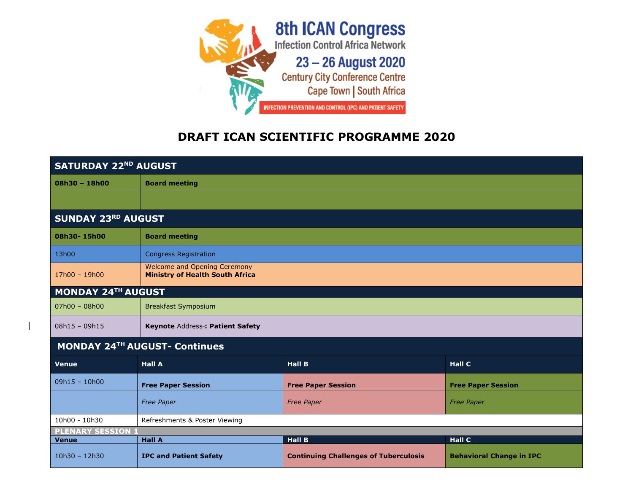

## **DRAFT ICAN SCIENTIFIC PROGRAMME 2020**

| <b>SATURDAY 22ND AUGUST</b>          |                                                                               |                                              |                                 |  |  |
|--------------------------------------|-------------------------------------------------------------------------------|----------------------------------------------|---------------------------------|--|--|
| 08h30 - 18h00                        | <b>Board meeting</b>                                                          |                                              |                                 |  |  |
|                                      |                                                                               |                                              |                                 |  |  |
| <b>SUNDAY 23RD AUGUST</b>            |                                                                               |                                              |                                 |  |  |
| 08h30-15h00                          | <b>Board meeting</b>                                                          |                                              |                                 |  |  |
| 13h00                                | <b>Congress Registration</b>                                                  |                                              |                                 |  |  |
| 17h00 - 19h00                        | <b>Welcome and Opening Ceremony</b><br><b>Ministry of Health South Africa</b> |                                              |                                 |  |  |
| <b>MONDAY 24TH AUGUST</b>            |                                                                               |                                              |                                 |  |  |
| $07h00 - 08h00$                      | <b>Breakfast Symposium</b>                                                    |                                              |                                 |  |  |
| $08h15 - 09h15$                      | Keynote Address-: Patient Safety                                              |                                              |                                 |  |  |
| <b>MONDAY 24TH AUGUST- Continues</b> |                                                                               |                                              |                                 |  |  |
| <b>Venue</b>                         | <b>Hall A</b>                                                                 | <b>Hall B</b>                                | <b>Hall C</b>                   |  |  |
| $09h15 - 10h00$                      | <b>Free Paper Session</b>                                                     | <b>Free Paper Session</b>                    | <b>Free Paper Session</b>       |  |  |
|                                      | <b>Free Paper</b>                                                             | <b>Free Paper</b>                            | <b>Free Paper</b>               |  |  |
| 10h00 - 10h30                        | Refreshments & Poster Viewing                                                 |                                              |                                 |  |  |
| <b>PLENARY SESSION 1</b>             |                                                                               |                                              |                                 |  |  |
| <b>Venue</b>                         | <b>Hall A</b>                                                                 | <b>Hall B</b>                                | <b>Hall C</b>                   |  |  |
| $10h30 - 12h30$                      | <b>IPC and Patient Safety</b>                                                 | <b>Continuing Challenges of Tuberculosis</b> | <b>Behavioral Change in IPC</b> |  |  |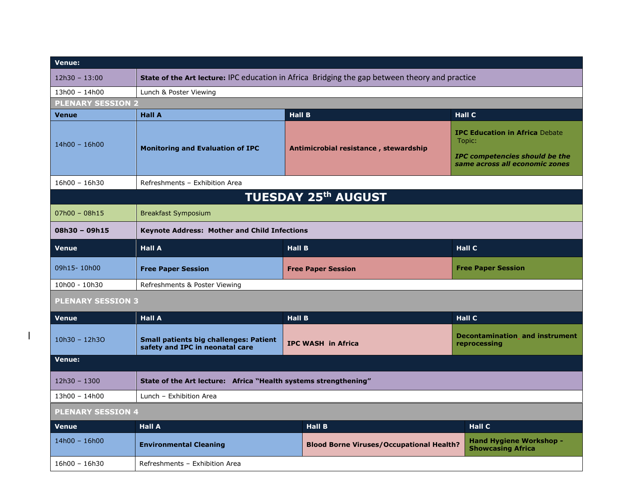| <b>Venue:</b>              |                                                                                                |                                |                                                 |  |                                                                                                                            |
|----------------------------|------------------------------------------------------------------------------------------------|--------------------------------|-------------------------------------------------|--|----------------------------------------------------------------------------------------------------------------------------|
| $12h30 - 13:00$            | State of the Art lecture: IPC education in Africa Bridging the gap between theory and practice |                                |                                                 |  |                                                                                                                            |
| 13h00 - 14h00              | Lunch & Poster Viewing                                                                         |                                |                                                 |  |                                                                                                                            |
| <b>PLENARY SESSION 2</b>   |                                                                                                |                                |                                                 |  |                                                                                                                            |
| <b>Venue</b>               | <b>Hall A</b>                                                                                  | <b>Hall B</b><br><b>Hall C</b> |                                                 |  |                                                                                                                            |
| $14h00 - 16h00$            | <b>Monitoring and Evaluation of IPC</b>                                                        |                                | Antimicrobial resistance, stewardship           |  | <b>IPC Education in Africa Debate</b><br>Topic:<br><b>IPC competencies should be the</b><br>same across all economic zones |
| $16h00 - 16h30$            | Refreshments - Exhibition Area                                                                 |                                |                                                 |  |                                                                                                                            |
| <b>TUESDAY 25th AUGUST</b> |                                                                                                |                                |                                                 |  |                                                                                                                            |
| $07h00 - 08h15$            | <b>Breakfast Symposium</b>                                                                     |                                |                                                 |  |                                                                                                                            |
| $08h30 - 09h15$            | <b>Keynote Address: Mother and Child Infections</b>                                            |                                |                                                 |  |                                                                                                                            |
| <b>Venue</b>               | <b>Hall A</b>                                                                                  |                                | <b>Hall B</b>                                   |  | <b>Hall C</b>                                                                                                              |
| 09h15-10h00                | <b>Free Paper Session</b>                                                                      | <b>Free Paper Session</b>      |                                                 |  | <b>Free Paper Session</b>                                                                                                  |
| 10h00 - 10h30              | Refreshments & Poster Viewing                                                                  |                                |                                                 |  |                                                                                                                            |
| <b>PLENARY SESSION 3</b>   |                                                                                                |                                |                                                 |  |                                                                                                                            |
| <b>Venue</b>               | <b>Hall A</b>                                                                                  | <b>Hall B</b>                  |                                                 |  | <b>Hall C</b>                                                                                                              |
| $10h30 - 12h30$            | <b>Small patients big challenges: Patient</b><br>safety and IPC in neonatal care               |                                | <b>IPC WASH in Africa</b>                       |  | <b>Decontamination and instrument</b><br>reprocessing                                                                      |
| <b>Venue:</b>              |                                                                                                |                                |                                                 |  |                                                                                                                            |
| $12h30 - 1300$             | State of the Art lecture: Africa "Health systems strengthening"                                |                                |                                                 |  |                                                                                                                            |
| 13h00 - 14h00              | Lunch - Exhibition Area                                                                        |                                |                                                 |  |                                                                                                                            |
| <b>PLENARY SESSION 4</b>   |                                                                                                |                                |                                                 |  |                                                                                                                            |
| <b>Venue</b>               | <b>Hall A</b>                                                                                  |                                | <b>Hall B</b>                                   |  | <b>Hall C</b>                                                                                                              |
| $14h00 - 16h00$            | <b>Environmental Cleaning</b>                                                                  |                                | <b>Blood Borne Viruses/Occupational Health?</b> |  | <b>Hand Hygiene Workshop -</b><br><b>Showcasing Africa</b>                                                                 |
| $16h00 - 16h30$            | Refreshments - Exhibition Area                                                                 |                                |                                                 |  |                                                                                                                            |